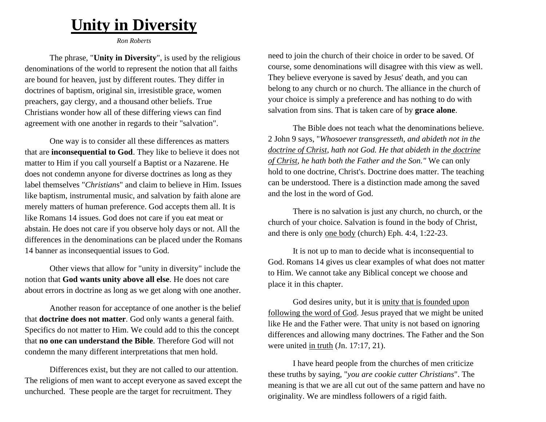## **Unity in Diversity**

*Ron Roberts*

The phrase, "**Unity in Diversity**", is used by the religious denominations of the world to represent the notion that all faiths are bound for heaven, just by different routes. They differ in doctrines of baptism, original sin, irresistible grace, women preachers, gay clergy, and a thousand other beliefs. True Christians wonder how all of these differing views can find agreement with one another in regards to their "salvation".

One way is to consider all these differences as matters that are **inconsequential to God**. They like to believe it does not matter to Him if you call yourself a Baptist or a Nazarene. He does not condemn anyone for diverse doctrines as long as they label themselves "*Christian*s" and claim to believe in Him. Issues like baptism, instrumental music, and salvation by faith alone are merely matters of human preference. God accepts them all. It is like Romans 14 issues. God does not care if you eat meat or abstain. He does not care if you observe holy days or not. All the differences in the denominations can be placed under the Romans 14 banner as inconsequential issues to God.

Other views that allow for "unity in diversity" include the notion that **God wants unity above all else**. He does not care about errors in doctrine as long as we get along with one another.

Another reason for acceptance of one another is the belief that **doctrine does not matter**. God only wants a general faith. Specifics do not matter to Him. We could add to this the concept that **no one can understand the Bible**. Therefore God will not condemn the many different interpretations that men hold.

Differences exist, but they are not called to our attention. The religions of men want to accept everyone as saved except the unchurched. These people are the target for recruitment. They

need to join the church of their choice in order to be saved. Of course, some denominations will disagree with this view as well. They believe everyone is saved by Jesus' death, and you can belong to any church or no church. The alliance in the church of your choice is simply a preference and has nothing to do with salvation from sins. That is taken care of by **grace alone**.

The Bible does not teach what the denominations believe. 2 John 9 says, "*Whosoever transgresseth, and abideth not in the doctrine of Christ, hath not God. He that abideth in the doctrine of Christ, he hath both the Father and the Son."* We can only hold to one doctrine, Christ's. Doctrine does matter. The teaching can be understood. There is a distinction made among the saved and the lost in the word of God.

There is no salvation is just any church, no church, or the church of your choice. Salvation is found in the body of Christ, and there is only one body (church) Eph. 4:4, 1:22-23.

It is not up to man to decide what is inconsequential to God. Romans 14 gives us clear examples of what does not matter to Him. We cannot take any Biblical concept we choose and place it in this chapter.

God desires unity, but it is unity that is founded upon following the word of God. Jesus prayed that we might be united like He and the Father were. That unity is not based on ignoring differences and allowing many doctrines. The Father and the Son were united in truth (Jn. 17:17, 21).

I have heard people from the churches of men criticize these truths by saying, "*you are cookie cutter Christians*". The meaning is that we are all cut out of the same pattern and have no originality. We are mindless followers of a rigid faith.